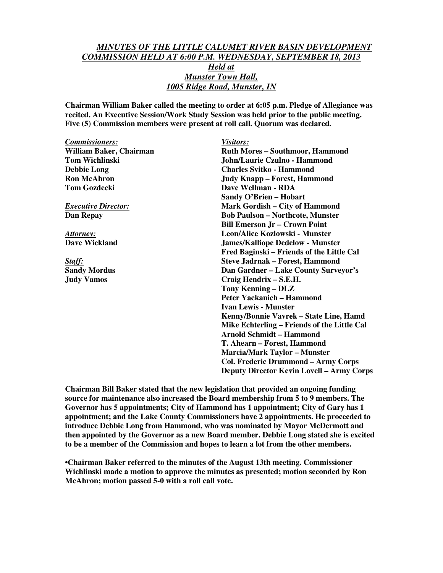## *MINUTES OF THE LITTLE CALUMET RIVER BASIN DEVELOPMENT COMMISSION HELD AT 6:00 P.M. WEDNESDAY, SEPTEMBER 18, 2013 Held at Munster Town Hall, 1005 Ridge Road, Munster, IN*

**Chairman William Baker called the meeting to order at 6:05 p.m. Pledge of Allegiance was recited. An Executive Session/Work Study Session was held prior to the public meeting. Five (5) Commission members were present at roll call. Quorum was declared.** 

*Commissioners: Visitors:* William Baker, Chairman **Ruth Mores – Southmoor, Hammond Tom Wichlinski John/Laurie Czulno - Hammond Debbie Long Charles Svitko - Hammond Ron McAhron Judy Knapp – Forest, Hammond Tom Gozdecki** Dave Wellman - RDA **Sandy O'Brien – Hobart**  *Executive Director:* Mark Gordish – City of Hammond **Dan Repay Bob Paulson – Northcote, Munster Bill Emerson Jr – Crown Point**  *Attorney:* **Leon/Alice Kozlowski - Munster Dave Wickland James/Kalliope Dedelow - Munster Fred Baginski – Friends of the Little Cal**  *Staff:* **Steve Jadrnak – Forest, Hammond Sandy Mordus Dan Gardner – Lake County Surveyor's Judy Vamos Craig Hendrix – S.E.H. Tony Kenning – DLZ Peter Yackanich – Hammond Ivan Lewis - Munster Kenny/Bonnie Vavrek – State Line, Hamd Mike Echterling – Friends of the Little Cal Arnold Schmidt – Hammond T. Ahearn – Forest, Hammond Marcia/Mark Taylor – Munster Col. Frederic Drummond – Army Corps** 

**Chairman Bill Baker stated that the new legislation that provided an ongoing funding source for maintenance also increased the Board membership from 5 to 9 members. The Governor has 5 appointments; City of Hammond has 1 appointment; City of Gary has 1 appointment; and the Lake County Commissioners have 2 appointments. He proceeded to introduce Debbie Long from Hammond, who was nominated by Mayor McDermott and then appointed by the Governor as a new Board member. Debbie Long stated she is excited to be a member of the Commission and hopes to learn a lot from the other members.** 

 **Deputy Director Kevin Lovell – Army Corps** 

**•Chairman Baker referred to the minutes of the August 13th meeting. Commissioner Wichlinski made a motion to approve the minutes as presented; motion seconded by Ron McAhron; motion passed 5-0 with a roll call vote.**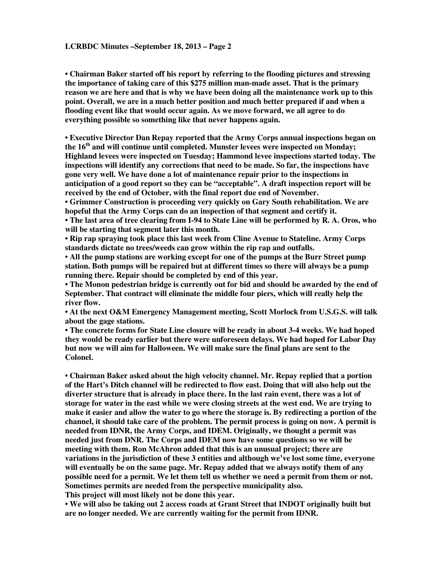**• Chairman Baker started off his report by referring to the flooding pictures and stressing the importance of taking care of this \$275 million man-made asset. That is the primary reason we are here and that is why we have been doing all the maintenance work up to this point. Overall, we are in a much better position and much better prepared if and when a flooding event like that would occur again. As we move forward, we all agree to do everything possible so something like that never happens again.** 

**• Executive Director Dan Repay reported that the Army Corps annual inspections began on the 16th and will continue until completed. Munster levees were inspected on Monday; Highland levees were inspected on Tuesday; Hammond levee inspections started today. The inspections will identify any corrections that need to be made. So far, the inspections have gone very well. We have done a lot of maintenance repair prior to the inspections in anticipation of a good report so they can be "acceptable". A draft inspection report will be received by the end of October, with the final report due end of November.** 

**• Grimmer Construction is proceeding very quickly on Gary South rehabilitation. We are hopeful that the Army Corps can do an inspection of that segment and certify it.** 

**• The last area of tree clearing from I-94 to State Line will be performed by R. A. Oros, who will be starting that segment later this month.** 

**• Rip rap spraying took place this last week from Cline Avenue to Stateline. Army Corps standards dictate no trees/weeds can grow within the rip rap and outfalls.** 

**• All the pump stations are working except for one of the pumps at the Burr Street pump station. Both pumps will be repaired but at different times so there will always be a pump running there. Repair should be completed by end of this year.** 

**• The Monon pedestrian bridge is currently out for bid and should be awarded by the end of September. That contract will eliminate the middle four piers, which will really help the river flow.** 

**• At the next O&M Emergency Management meeting, Scott Morlock from U.S.G.S. will talk about the gage stations.** 

**• The concrete forms for State Line closure will be ready in about 3-4 weeks. We had hoped they would be ready earlier but there were unforeseen delays. We had hoped for Labor Day but now we will aim for Halloween. We will make sure the final plans are sent to the Colonel.** 

**• Chairman Baker asked about the high velocity channel. Mr. Repay replied that a portion of the Hart's Ditch channel will be redirected to flow east. Doing that will also help out the diverter structure that is already in place there. In the last rain event, there was a lot of storage for water in the east while we were closing streets at the west end. We are trying to make it easier and allow the water to go where the storage is. By redirecting a portion of the channel, it should take care of the problem. The permit process is going on now. A permit is needed from IDNR, the Army Corps, and IDEM. Originally, we thought a permit was needed just from DNR. The Corps and IDEM now have some questions so we will be meeting with them. Ron McAhron added that this is an unusual project; there are variations in the jurisdiction of these 3 entities and although we've lost some time, everyone will eventually be on the same page. Mr. Repay added that we always notify them of any possible need for a permit. We let them tell us whether we need a permit from them or not. Sometimes permits are needed from the perspective municipality also.** 

**This project will most likely not be done this year.** 

**• We will also be taking out 2 access roads at Grant Street that INDOT originally built but are no longer needed. We are currently waiting for the permit from IDNR.**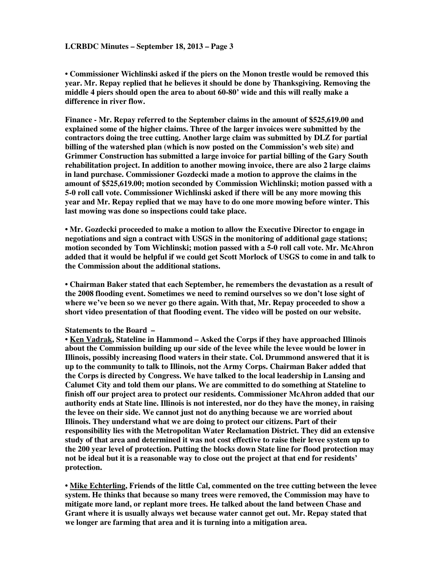**• Commissioner Wichlinski asked if the piers on the Monon trestle would be removed this year. Mr. Repay replied that he believes it should be done by Thanksgiving. Removing the middle 4 piers should open the area to about 60-80' wide and this will really make a difference in river flow.** 

**Finance - Mr. Repay referred to the September claims in the amount of \$525,619.00 and explained some of the higher claims. Three of the larger invoices were submitted by the contractors doing the tree cutting. Another large claim was submitted by DLZ for partial billing of the watershed plan (which is now posted on the Commission's web site) and Grimmer Construction has submitted a large invoice for partial billing of the Gary South rehabilitation project. In addition to another mowing invoice, there are also 2 large claims in land purchase. Commissioner Gozdecki made a motion to approve the claims in the amount of \$525,619.00; motion seconded by Commission Wichlinski; motion passed with a 5-0 roll call vote. Commissioner Wichlinski asked if there will be any more mowing this year and Mr. Repay replied that we may have to do one more mowing before winter. This last mowing was done so inspections could take place.** 

**• Mr. Gozdecki proceeded to make a motion to allow the Executive Director to engage in negotiations and sign a contract with USGS in the monitoring of additional gage stations; motion seconded by Tom Wichlinski; motion passed with a 5-0 roll call vote. Mr. McAhron added that it would be helpful if we could get Scott Morlock of USGS to come in and talk to the Commission about the additional stations.** 

**• Chairman Baker stated that each September, he remembers the devastation as a result of the 2008 flooding event. Sometimes we need to remind ourselves so we don't lose sight of where we've been so we never go there again. With that, Mr. Repay proceeded to show a short video presentation of that flooding event. The video will be posted on our website.** 

## **Statements to the Board –**

**• Ken Vadrak, Stateline in Hammond – Asked the Corps if they have approached Illinois about the Commission building up our side of the levee while the levee would be lower in Illinois, possibly increasing flood waters in their state. Col. Drummond answered that it is up to the community to talk to Illinois, not the Army Corps. Chairman Baker added that the Corps is directed by Congress. We have talked to the local leadership in Lansing and Calumet City and told them our plans. We are committed to do something at Stateline to finish off our project area to protect our residents. Commissioner McAhron added that our authority ends at State line. Illinois is not interested, nor do they have the money, in raising the levee on their side. We cannot just not do anything because we are worried about Illinois. They understand what we are doing to protect our citizens. Part of their responsibility lies with the Metropolitan Water Reclamation District. They did an extensive study of that area and determined it was not cost effective to raise their levee system up to the 200 year level of protection. Putting the blocks down State line for flood protection may not be ideal but it is a reasonable way to close out the project at that end for residents' protection.** 

**• Mike Echterling, Friends of the little Cal, commented on the tree cutting between the levee system. He thinks that because so many trees were removed, the Commission may have to mitigate more land, or replant more trees. He talked about the land between Chase and Grant where it is usually always wet because water cannot get out. Mr. Repay stated that we longer are farming that area and it is turning into a mitigation area.**